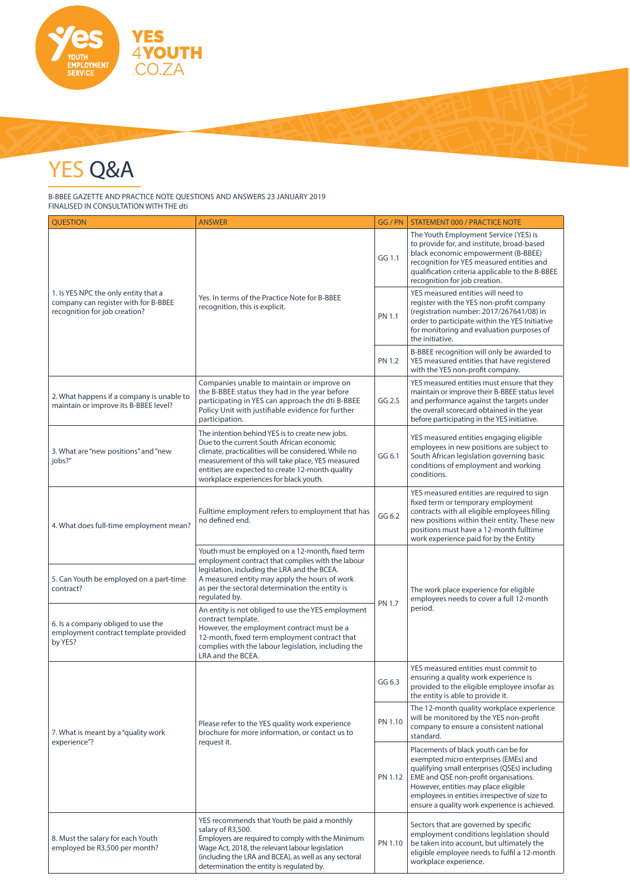

## YES Q&A

B-BBEE GAZETTE AND PRACTICE NOTE QUESTIONS AND ANSWERS 23 JANUARY 2019 FINALISED IN CONSULTATION WITH THE dti

| <b>QUESTION</b>                                                                                               | <b>ANSWER</b>                                                                                                                                                                                                                                                                                           | GG / PN       | <b>STATEMENT 000 / PRACTICE NOTE</b>                                                                                                                                                                                                                                                                              |
|---------------------------------------------------------------------------------------------------------------|---------------------------------------------------------------------------------------------------------------------------------------------------------------------------------------------------------------------------------------------------------------------------------------------------------|---------------|-------------------------------------------------------------------------------------------------------------------------------------------------------------------------------------------------------------------------------------------------------------------------------------------------------------------|
| 1. Is YES NPC the only entity that a<br>company can register with for B-BBEE<br>recognition for job creation? | Yes. In terms of the Practice Note for B-BBEE<br>recognition, this is explicit.                                                                                                                                                                                                                         | GG 1.1        | The Youth Employment Service (YES) is<br>to provide for, and institute, broad-based<br>black economic empowerment (B-BBEE)<br>recognition for YES measured entities and<br>qualification criteria applicable to the B-BBEE<br>recognition for job creation.                                                       |
|                                                                                                               |                                                                                                                                                                                                                                                                                                         | <b>PN 1.1</b> | YES measured entities will need to<br>register with the YES non-profit company<br>(registration number: 2017/267641/08) in<br>order to participate within the YES Initiative<br>for monitoring and evaluation purposes of<br>the initiative.                                                                      |
|                                                                                                               |                                                                                                                                                                                                                                                                                                         | <b>PN 1.2</b> | B-BBEE recognition will only be awarded to<br>YES measured entities that have registered<br>with the YES non-profit company.                                                                                                                                                                                      |
| 2. What happens if a company is unable to<br>maintain or improve its B-BBEE level?                            | Companies unable to maintain or improve on<br>the B-BBEE status they had in the year before<br>participating in YES can approach the dti B-BBEE<br>Policy Unit with justifiable evidence for further<br>participation.                                                                                  | GG 2.5        | YES measured entities must ensure that they<br>maintain or improve their B-BBEE status level<br>and performance against the targets under<br>the overall scorecard obtained in the year<br>before participating in the YES initiative.                                                                            |
| 3. What are "new positions" and "new<br>jobs?"                                                                | The intention behind YES is to create new jobs.<br>Due to the current South African economic<br>climate, practicalities will be considered. While no<br>measurement of this will take place, YES measured<br>entities are expected to create 12-month quality<br>workplace experiences for black youth. | GG 6.1        | YES measured entities engaging eligible<br>employees in new positions are subject to<br>South African legislation governing basic<br>conditions of employment and working<br>conditions.                                                                                                                          |
| 4. What does full-time employment mean?                                                                       | Fulltime employment refers to employment that has<br>no defined end.                                                                                                                                                                                                                                    | GG 6.2        | YES measured entities are required to sign<br>fixed term or temporary employment<br>contracts with all eligible employees filling<br>new positions within their entity. These new<br>positions must have a 12-month fulltime<br>work experience paid for by the Entity                                            |
| 5. Can Youth be employed on a part-time<br>contract?                                                          | Youth must be employed on a 12-month, fixed term<br>employment contract that complies with the labour<br>legislation, including the LRA and the BCEA.<br>A measured entity may apply the hours of work<br>as per the sectoral determination the entity is<br>regulated by.                              | <b>PN 1.7</b> | The work place experience for eligible<br>employees needs to cover a full 12-month<br>period.                                                                                                                                                                                                                     |
| 6. Is a company obliged to use the<br>employment contract template provided<br>by YES?                        | An entity is not obliged to use the YES employment<br>contract template.<br>However, the employment contract must be a<br>12-month, fixed term employment contract that<br>complies with the labour legislation, including the<br>LRA and the BCEA.                                                     |               |                                                                                                                                                                                                                                                                                                                   |
| 7. What is meant by a "quality work<br>experience"?                                                           | Please refer to the YES quality work experience<br>brochure for more information, or contact us to<br>request it.                                                                                                                                                                                       | GG 6.3        | YES measured entities must commit to<br>ensuring a quality work experience is<br>provided to the eligible employee insofar as<br>the entity is able to provide it.                                                                                                                                                |
|                                                                                                               |                                                                                                                                                                                                                                                                                                         | PN 1.10       | The 12-month quality workplace experience<br>will be monitored by the YES non-profit<br>company to ensure a consistent national<br>standard.                                                                                                                                                                      |
|                                                                                                               |                                                                                                                                                                                                                                                                                                         | PN 1.12       | Placements of black youth can be for<br>exempted micro enterprises (EMEs) and<br>qualifying small enterprises (QSEs) including<br>EME and QSE non-profit organisations.<br>However, entities may place eligible<br>employees in entities irrespective of size to<br>ensure a quality work experience is achieved. |
| 8. Must the salary for each Youth<br>employed be R3,500 per month?                                            | YES recommends that Youth be paid a monthly<br>salary of R3,500.<br>Employers are required to comply with the Minimum<br>Wage Act, 2018, the relevant labour legislation<br>(including the LRA and BCEA), as well as any sectoral<br>determination the entity is regulated by.                          | PN 1.10       | Sectors that are governed by specific<br>employment conditions legislation should<br>be taken into account, but ultimately the<br>eligible employee needs to fulfil a 12-month<br>workplace experience.                                                                                                           |